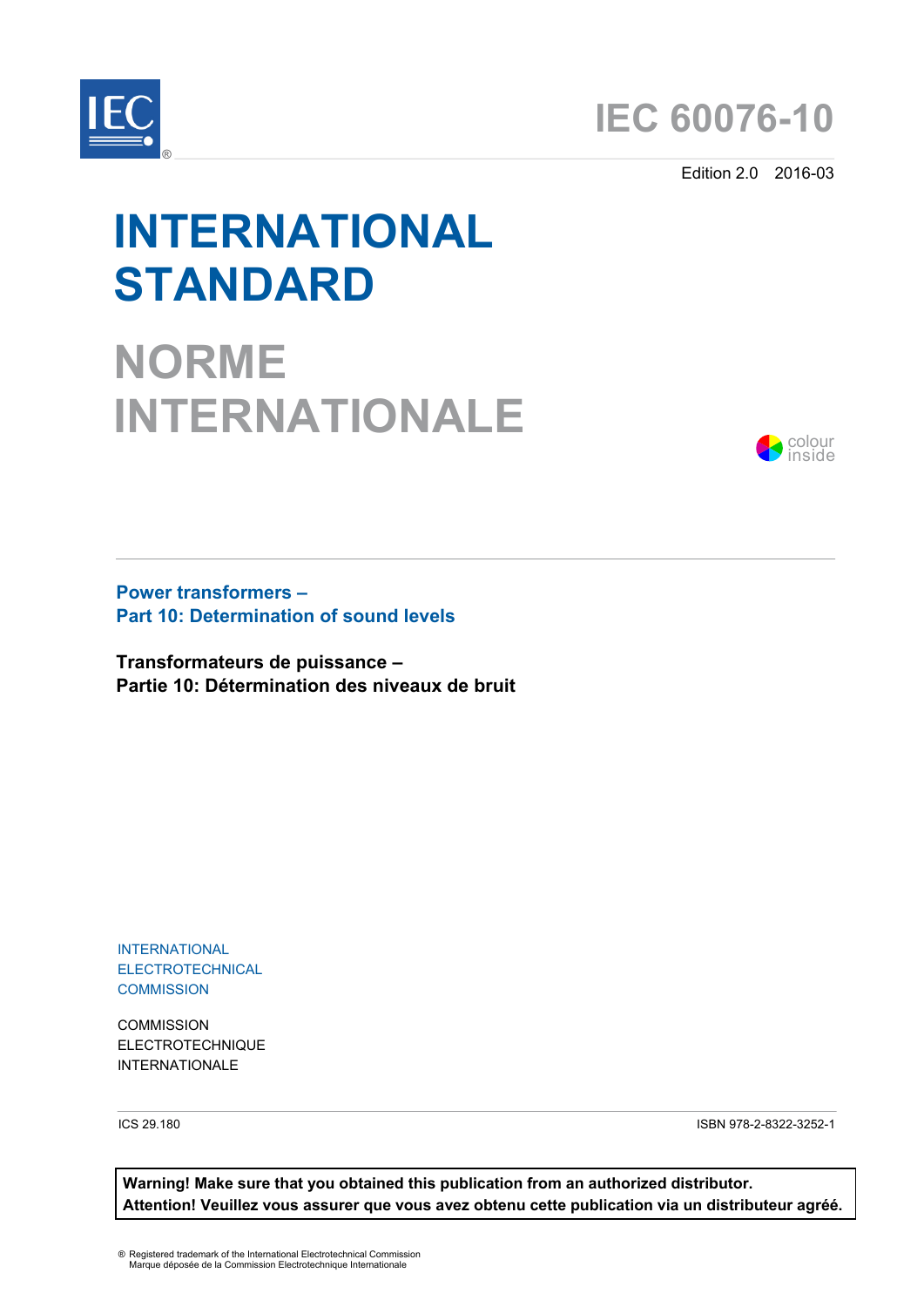

Edition 2.0 2016-03

# **INTERNATIONAL STANDARD**

**NORME INTERNATIONALE**



**Power transformers – Part 10: Determination of sound levels**

**Transformateurs de puissance – Partie 10: Détermination des niveaux de bruit**

INTERNATIONAL ELECTROTECHNICAL **COMMISSION** 

**COMMISSION** ELECTROTECHNIQUE INTERNATIONALE

ICS 29.180 ISBN 978-2-8322-3252-1

**Warning! Make sure that you obtained this publication from an authorized distributor. Attention! Veuillez vous assurer que vous avez obtenu cette publication via un distributeur agréé.**

® Registered trademark of the International Electrotechnical Commission Marque déposée de la Commission Electrotechnique Internationale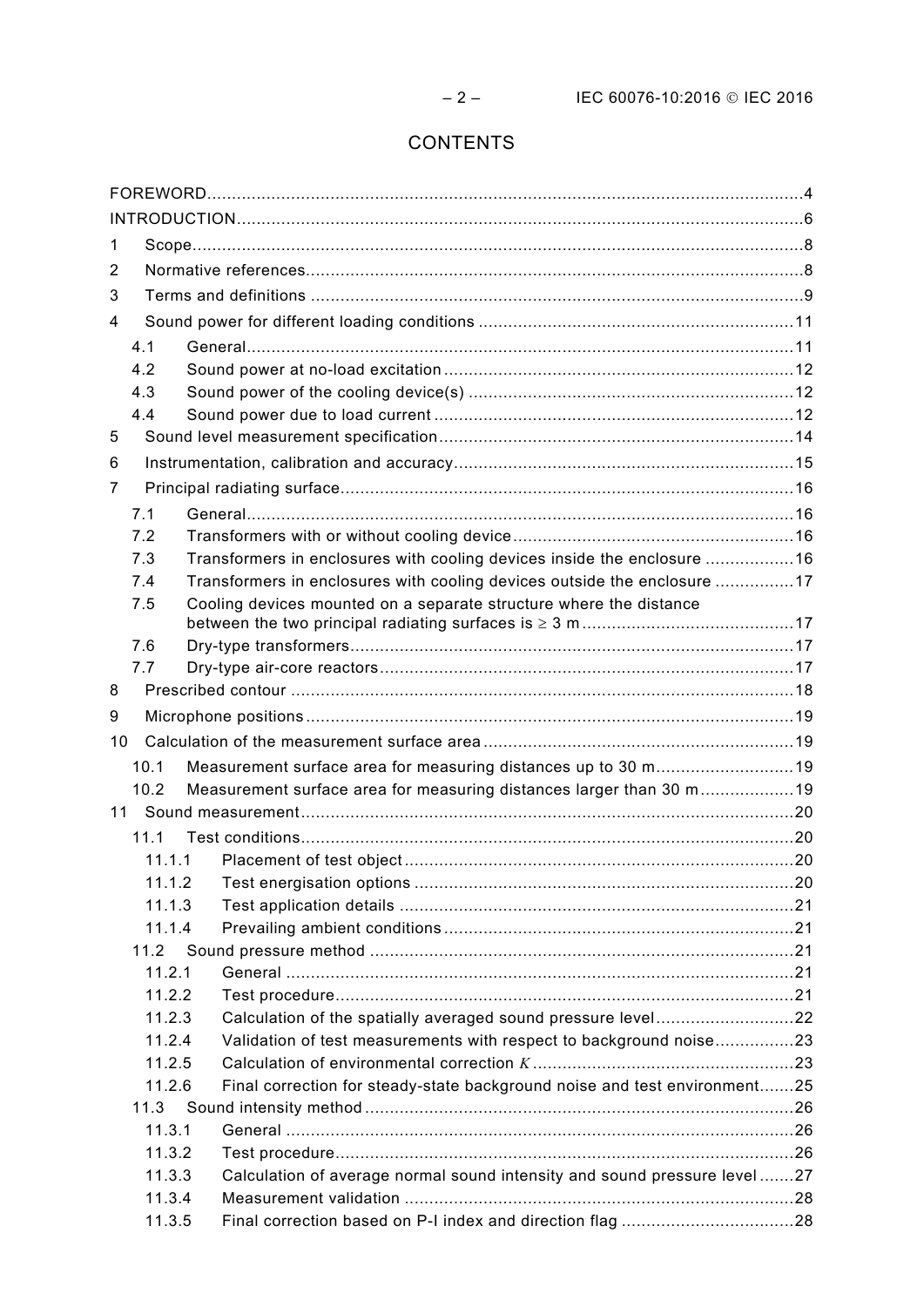# CONTENTS

| 1  |                  |                                                                           |  |
|----|------------------|---------------------------------------------------------------------------|--|
| 2  |                  |                                                                           |  |
| 3  |                  |                                                                           |  |
| 4  |                  |                                                                           |  |
|    | 4.1              |                                                                           |  |
|    | 4.2              |                                                                           |  |
|    | 4.3              |                                                                           |  |
|    | 4.4              |                                                                           |  |
| 5  |                  |                                                                           |  |
| 6  |                  |                                                                           |  |
| 7  |                  |                                                                           |  |
|    | 7.1              |                                                                           |  |
|    | 7.2              |                                                                           |  |
|    | 7.3              | Transformers in enclosures with cooling devices inside the enclosure 16   |  |
|    | 7.4              | Transformers in enclosures with cooling devices outside the enclosure 17  |  |
|    | 7.5              | Cooling devices mounted on a separate structure where the distance        |  |
|    |                  |                                                                           |  |
|    | 7.6              |                                                                           |  |
|    | 7.7              |                                                                           |  |
| 8  |                  |                                                                           |  |
| 9  |                  |                                                                           |  |
| 10 |                  |                                                                           |  |
|    | 10.1             | Measurement surface area for measuring distances up to 30 m19             |  |
|    | 10.2             | Measurement surface area for measuring distances larger than 30 m19       |  |
|    |                  |                                                                           |  |
|    | 11.1             |                                                                           |  |
|    | 11.1.1           |                                                                           |  |
|    |                  |                                                                           |  |
|    | 11.1.3           |                                                                           |  |
|    | 11.1.4           |                                                                           |  |
|    |                  |                                                                           |  |
|    | 11.2.1           |                                                                           |  |
|    | 11.2.2           |                                                                           |  |
|    | 11.2.3           |                                                                           |  |
|    | 11.2.4           | Validation of test measurements with respect to background noise23        |  |
|    | 11.2.5           |                                                                           |  |
|    | 11.2.6           | Final correction for steady-state background noise and test environment25 |  |
|    | 11.3             |                                                                           |  |
|    | 11.3.1<br>11.3.2 |                                                                           |  |
|    | 11.3.3           | Calculation of average normal sound intensity and sound pressure level 27 |  |
|    | 11.3.4           |                                                                           |  |
|    | 11.3.5           |                                                                           |  |
|    |                  |                                                                           |  |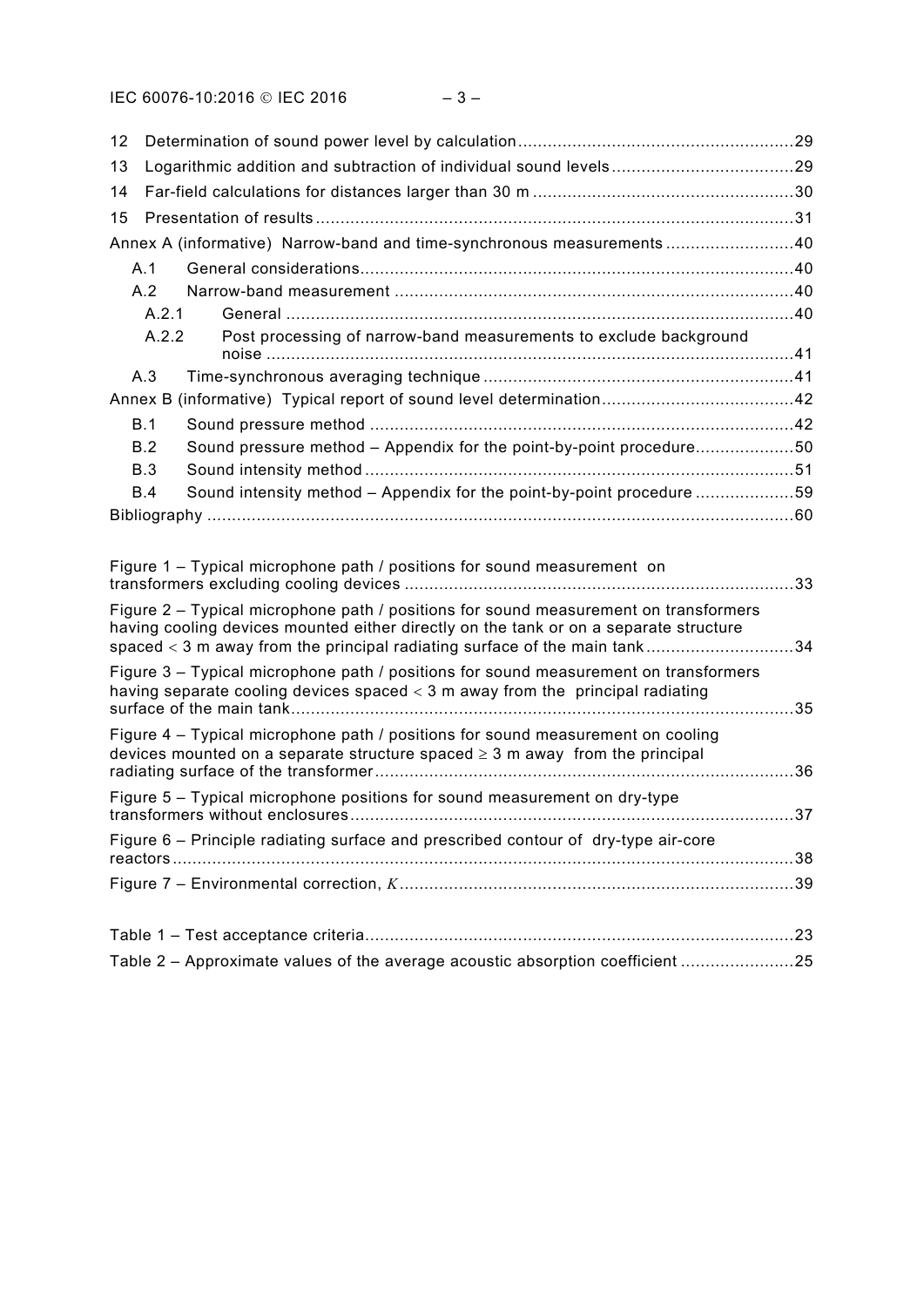| 12 |            |                                                                                                                                                                                                                                                            |    |
|----|------------|------------------------------------------------------------------------------------------------------------------------------------------------------------------------------------------------------------------------------------------------------------|----|
| 13 |            |                                                                                                                                                                                                                                                            |    |
| 14 |            |                                                                                                                                                                                                                                                            |    |
| 15 |            |                                                                                                                                                                                                                                                            |    |
|    |            | Annex A (informative) Narrow-band and time-synchronous measurements40                                                                                                                                                                                      |    |
|    | A.1        |                                                                                                                                                                                                                                                            |    |
|    | A.2        |                                                                                                                                                                                                                                                            |    |
|    | A.2.1      |                                                                                                                                                                                                                                                            |    |
|    | A.2.2      | Post processing of narrow-band measurements to exclude background                                                                                                                                                                                          |    |
|    |            |                                                                                                                                                                                                                                                            |    |
|    | A.3        |                                                                                                                                                                                                                                                            |    |
|    |            |                                                                                                                                                                                                                                                            |    |
|    | B.1<br>B.2 | Sound pressure method – Appendix for the point-by-point procedure50                                                                                                                                                                                        |    |
|    | <b>B.3</b> |                                                                                                                                                                                                                                                            |    |
|    | <b>B.4</b> | Sound intensity method - Appendix for the point-by-point procedure 59                                                                                                                                                                                      |    |
|    |            |                                                                                                                                                                                                                                                            |    |
|    |            |                                                                                                                                                                                                                                                            |    |
|    |            | Figure 1 – Typical microphone path / positions for sound measurement on                                                                                                                                                                                    |    |
|    |            | Figure 2 - Typical microphone path / positions for sound measurement on transformers<br>having cooling devices mounted either directly on the tank or on a separate structure<br>spaced < 3 m away from the principal radiating surface of the main tank34 |    |
|    |            | Figure 3 – Typical microphone path / positions for sound measurement on transformers<br>having separate cooling devices spaced $<$ 3 m away from the principal radiating                                                                                   |    |
|    |            | Figure 4 – Typical microphone path / positions for sound measurement on cooling<br>devices mounted on a separate structure spaced $\geq$ 3 m away from the principal                                                                                       |    |
|    |            | Figure 5 – Typical microphone positions for sound measurement on dry-type                                                                                                                                                                                  | 37 |
|    |            | Figure 6 - Principle radiating surface and prescribed contour of dry-type air-core                                                                                                                                                                         |    |
|    |            |                                                                                                                                                                                                                                                            |    |
|    |            |                                                                                                                                                                                                                                                            |    |
|    |            | Table 2 - Approximate values of the average acoustic absorption coefficient 25                                                                                                                                                                             |    |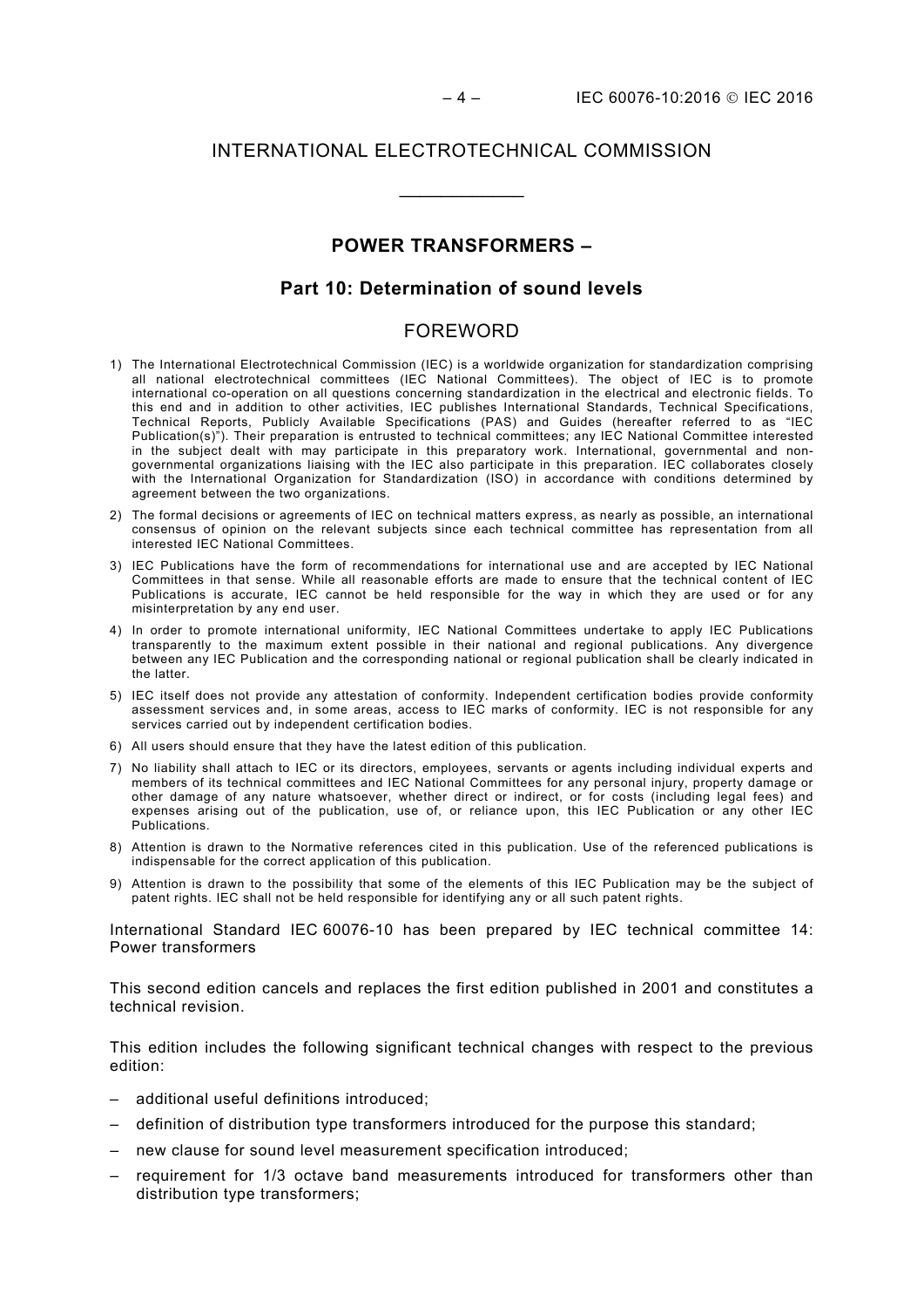## INTERNATIONAL ELECTROTECHNICAL COMMISSION

\_\_\_\_\_\_\_\_\_\_\_\_

## **POWER TRANSFORMERS –**

## **Part 10: Determination of sound levels**

## FOREWORD

- <span id="page-3-0"></span>1) The International Electrotechnical Commission (IEC) is a worldwide organization for standardization comprising all national electrotechnical committees (IEC National Committees). The object of IEC is to promote international co-operation on all questions concerning standardization in the electrical and electronic fields. To this end and in addition to other activities, IEC publishes International Standards, Technical Specifications, Technical Reports, Publicly Available Specifications (PAS) and Guides (hereafter referred to as "IEC Publication(s)"). Their preparation is entrusted to technical committees; any IEC National Committee interested in the subject dealt with may participate in this preparatory work. International, governmental and nongovernmental organizations liaising with the IEC also participate in this preparation. IEC collaborates closely with the International Organization for Standardization (ISO) in accordance with conditions determined by agreement between the two organizations.
- 2) The formal decisions or agreements of IEC on technical matters express, as nearly as possible, an international consensus of opinion on the relevant subjects since each technical committee has representation from all interested IEC National Committees.
- 3) IEC Publications have the form of recommendations for international use and are accepted by IEC National Committees in that sense. While all reasonable efforts are made to ensure that the technical content of IEC Publications is accurate, IEC cannot be held responsible for the way in which they are used or for any misinterpretation by any end user.
- 4) In order to promote international uniformity, IEC National Committees undertake to apply IEC Publications transparently to the maximum extent possible in their national and regional publications. Any divergence between any IEC Publication and the corresponding national or regional publication shall be clearly indicated in the latter.
- 5) IEC itself does not provide any attestation of conformity. Independent certification bodies provide conformity assessment services and, in some areas, access to IEC marks of conformity. IEC is not responsible for any services carried out by independent certification bodies.
- 6) All users should ensure that they have the latest edition of this publication.
- 7) No liability shall attach to IEC or its directors, employees, servants or agents including individual experts and members of its technical committees and IEC National Committees for any personal injury, property damage or other damage of any nature whatsoever, whether direct or indirect, or for costs (including legal fees) and expenses arising out of the publication, use of, or reliance upon, this IEC Publication or any other IEC Publications.
- 8) Attention is drawn to the Normative references cited in this publication. Use of the referenced publications is indispensable for the correct application of this publication.
- 9) Attention is drawn to the possibility that some of the elements of this IEC Publication may be the subject of patent rights. IEC shall not be held responsible for identifying any or all such patent rights.

International Standard IEC 60076-10 has been prepared by IEC technical committee 14: Power transformers

This second edition cancels and replaces the first edition published in 2001 and constitutes a technical revision.

This edition includes the following significant technical changes with respect to the previous edition:

- additional useful definitions introduced;
- definition of distribution type transformers introduced for the purpose this standard;
- new clause for sound level measurement specification introduced;
- requirement for 1/3 octave band measurements introduced for transformers other than distribution type transformers;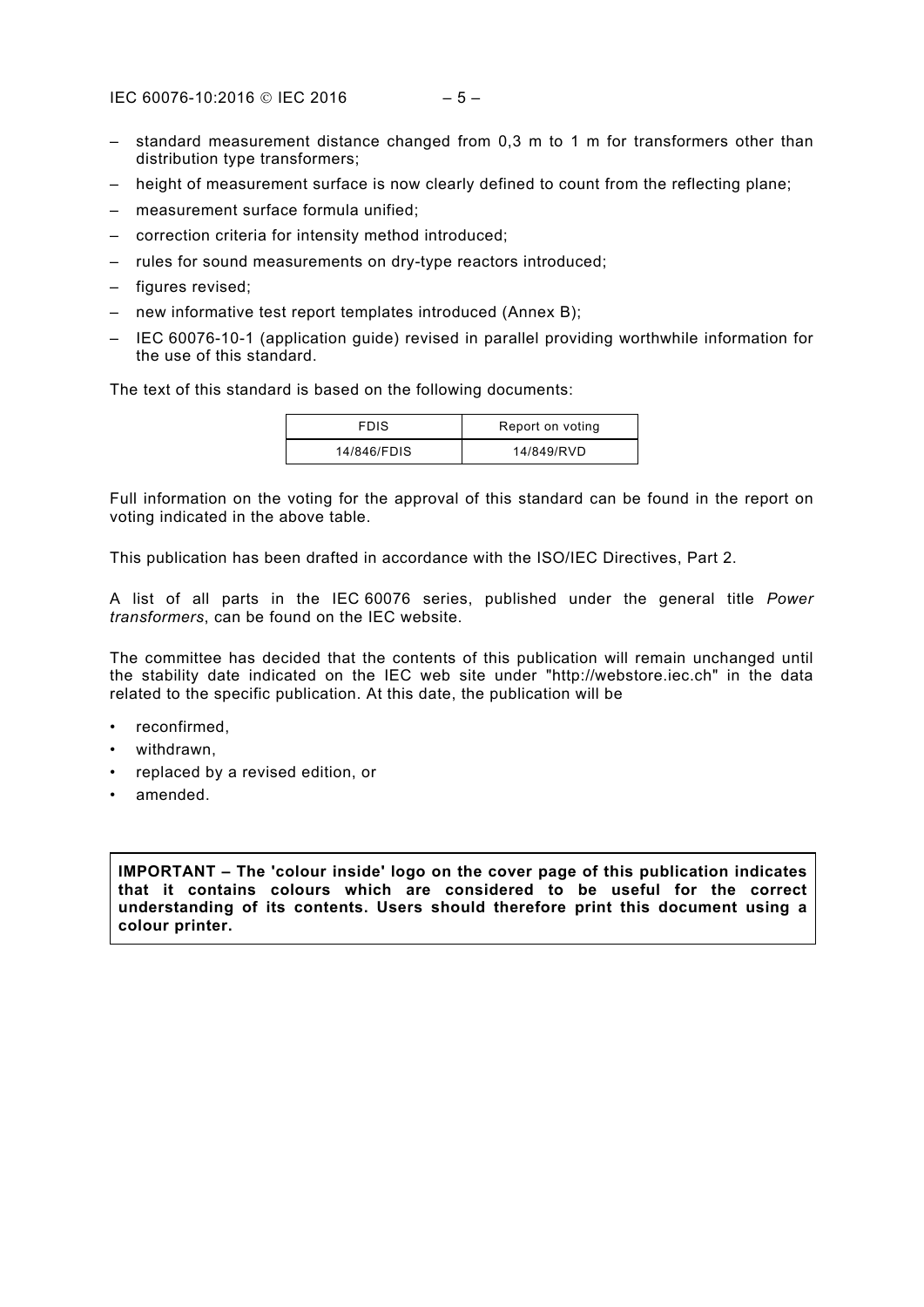- standard measurement distance changed from 0,3 m to 1 m for transformers other than distribution type transformers;
- height of measurement surface is now clearly defined to count from the reflecting plane;
- measurement surface formula unified;
- correction criteria for intensity method introduced;
- rules for sound measurements on dry-type reactors introduced;
- figures revised;
- new informative test report templates introduced (Annex B);
- IEC 60076-10-1 (application guide) revised in parallel providing worthwhile information for the use of this standard.

The text of this standard is based on the following documents:

| <b>FDIS</b> | Report on voting |
|-------------|------------------|
| 14/846/FDIS | 14/849/RVD       |

Full information on the voting for the approval of this standard can be found in the report on voting indicated in the above table.

This publication has been drafted in accordance with the ISO/IEC Directives, Part 2.

A list of all parts in the IEC 60076 series, published under the general title *Power transformers*, can be found on the IEC website.

The committee has decided that the contents of this publication will remain unchanged until the stability date indicated on the IEC web site under "http://webstore.iec.ch" in the data related to the specific publication. At this date, the publication will be

- reconfirmed,
- withdrawn.
- replaced by a revised edition, or
- amended.

**IMPORTANT – The 'colour inside' logo on the cover page of this publication indicates that it contains colours which are considered to be useful for the correct understanding of its contents. Users should therefore print this document using a colour printer.**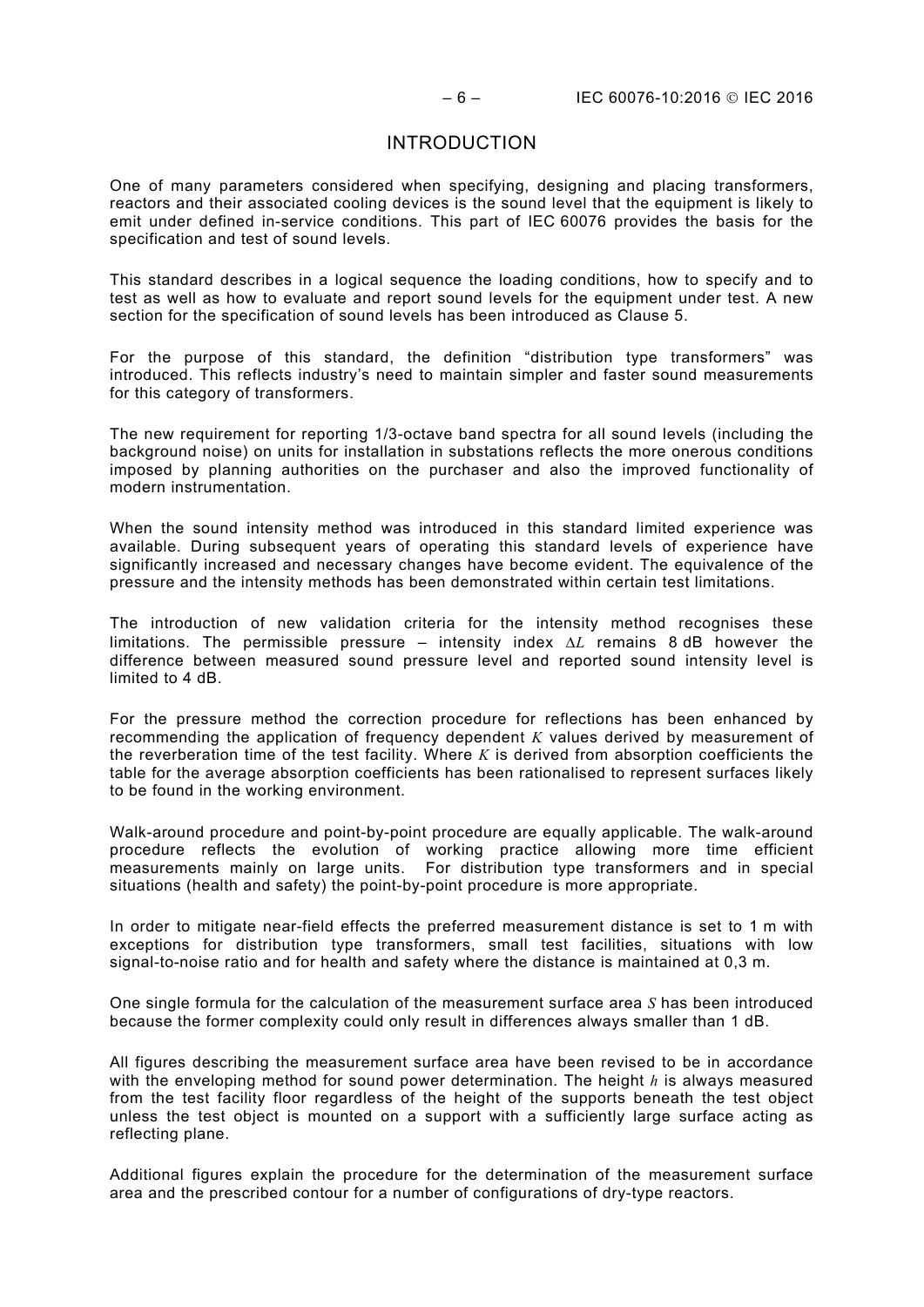## INTRODUCTION

<span id="page-5-0"></span>One of many parameters considered when specifying, designing and placing transformers, reactors and their associated cooling devices is the sound level that the equipment is likely to emit under defined in-service conditions. This part of IEC 60076 provides the basis for the specification and test of sound levels.

This standard describes in a logical sequence the loading conditions, how to specify and to test as well as how to evaluate and report sound levels for the equipment under test. A new section for the specification of sound levels has been introduced as Clause 5.

For the purpose of this standard, the definition "distribution type transformers" was introduced. This reflects industry's need to maintain simpler and faster sound measurements for this category of transformers.

The new requirement for reporting 1/3-octave band spectra for all sound levels (including the background noise) on units for installation in substations reflects the more onerous conditions imposed by planning authorities on the purchaser and also the improved functionality of modern instrumentation.

When the sound intensity method was introduced in this standard limited experience was available. During subsequent years of operating this standard levels of experience have significantly increased and necessary changes have become evident. The equivalence of the pressure and the intensity methods has been demonstrated within certain test limitations.

The introduction of new validation criteria for the intensity method recognises these limitations. The permissible pressure – intensity index ∆*L* remains 8 dB however the difference between measured sound pressure level and reported sound intensity level is limited to 4 dB.

For the pressure method the correction procedure for reflections has been enhanced by recommending the application of frequency dependent *K* values derived by measurement of the reverberation time of the test facility. Where *K* is derived from absorption coefficients the table for the average absorption coefficients has been rationalised to represent surfaces likely to be found in the working environment.

Walk-around procedure and point-by-point procedure are equally applicable. The walk-around procedure reflects the evolution of working practice allowing more time efficient measurements mainly on large units. For distribution type transformers and in special situations (health and safety) the point-by-point procedure is more appropriate.

In order to mitigate near-field effects the preferred measurement distance is set to 1 m with exceptions for distribution type transformers, small test facilities, situations with low signal-to-noise ratio and for health and safety where the distance is maintained at 0,3 m.

One single formula for the calculation of the measurement surface area *S* has been introduced because the former complexity could only result in differences always smaller than 1 dB.

All figures describing the measurement surface area have been revised to be in accordance with the enveloping method for sound power determination. The height *h* is always measured from the test facility floor regardless of the height of the supports beneath the test object unless the test object is mounted on a support with a sufficiently large surface acting as reflecting plane.

Additional figures explain the procedure for the determination of the measurement surface area and the prescribed contour for a number of configurations of dry-type reactors.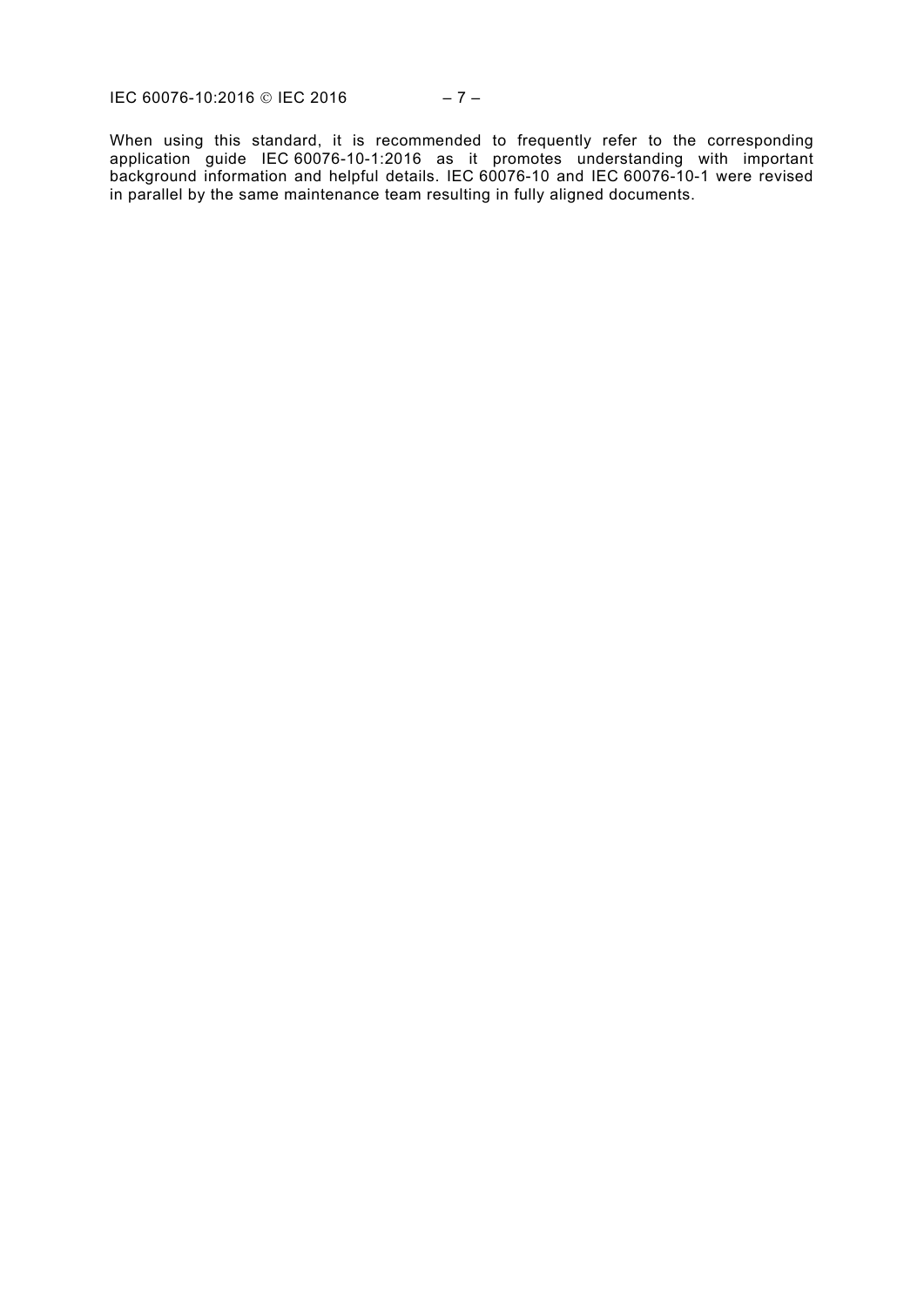When using this standard, it is recommended to frequently refer to the corresponding application guide IEC 60076-10-1:2016 as it promotes understanding with important background information and helpful details. IEC 60076-10 and IEC 60076-10-1 were revised in parallel by the same maintenance team resulting in fully aligned documents.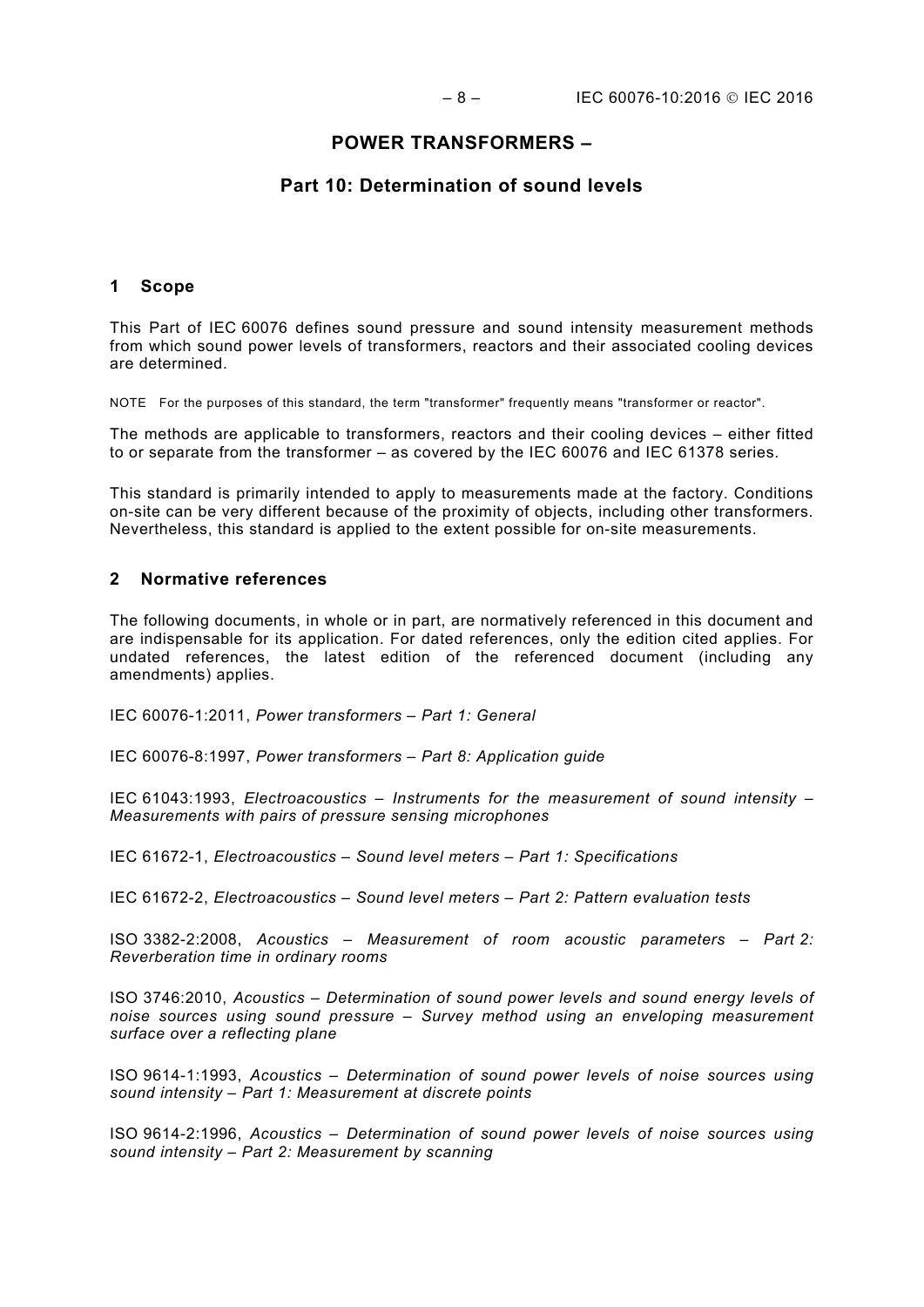# **POWER TRANSFORMERS –**

## **Part 10: Determination of sound levels**

#### <span id="page-7-0"></span>**1 Scope**

This Part of IEC 60076 defines sound pressure and sound intensity measurement methods from which sound power levels of transformers, reactors and their associated cooling devices are determined.

NOTE For the purposes of this standard, the term "transformer" frequently means "transformer or reactor".

The methods are applicable to transformers, reactors and their cooling devices – either fitted to or separate from the transformer – as covered by the IEC 60076 and IEC 61378 series.

This standard is primarily intended to apply to measurements made at the factory. Conditions on-site can be very different because of the proximity of objects, including other transformers. Nevertheless, this standard is applied to the extent possible for on-site measurements.

### <span id="page-7-1"></span>**2 Normative references**

The following documents, in whole or in part, are normatively referenced in this document and are indispensable for its application. For dated references, only the edition cited applies. For undated references, the latest edition of the referenced document (including any amendments) applies.

IEC 60076-1:2011, *Power transformers – Part 1: General*

IEC 60076-8:1997, *Power transformers – Part 8: Application guide*

IEC 61043:1993, *Electroacoustics – Instruments for the measurement of sound intensity – Measurements with pairs of pressure sensing microphones*

IEC 61672-1, *Electroacoustics – Sound level meters – Part 1: Specifications*

IEC 61672-2, *Electroacoustics – Sound level meters – Part 2: Pattern evaluation tests*

ISO 3382-2:2008, *Acoustics – Measurement of room acoustic parameters – Part 2: Reverberation time in ordinary rooms*

ISO 3746:2010, *Acoustics – Determination of sound power levels and sound energy levels of noise sources using sound pressure – Survey method using an enveloping measurement surface over a reflecting plane*

ISO 9614-1:1993, *Acoustics – Determination of sound power levels of noise sources using sound intensity – Part 1: Measurement at discrete points*

ISO 9614-2:1996, *Acoustics – Determination of sound power levels of noise sources using sound intensity – Part 2: Measurement by scanning*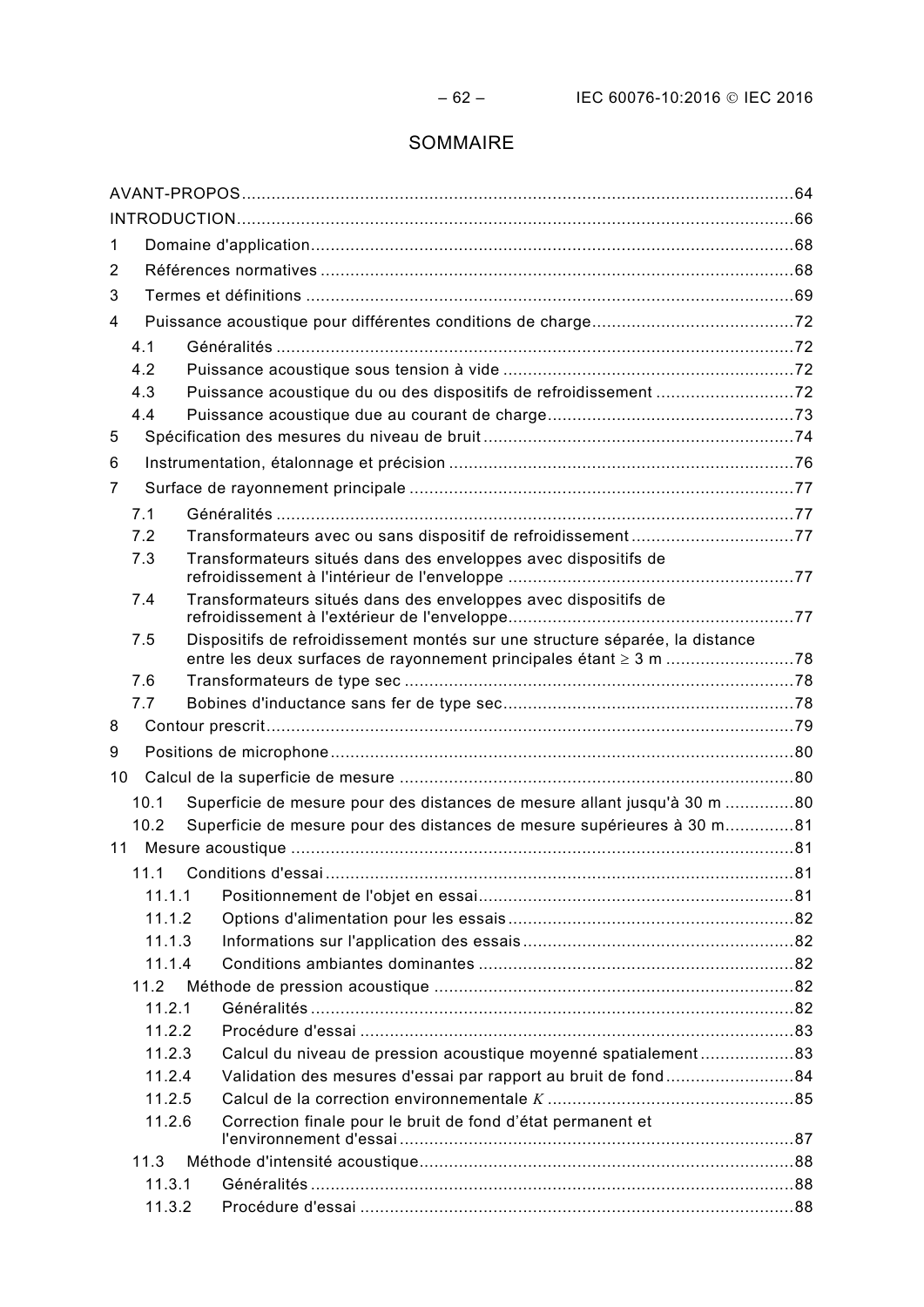# SOMMAIRE

| 1  |        |                                                                              |  |
|----|--------|------------------------------------------------------------------------------|--|
| 2  |        |                                                                              |  |
| 3  |        |                                                                              |  |
| 4  |        |                                                                              |  |
|    | 4.1    |                                                                              |  |
|    | 4.2    |                                                                              |  |
|    | 4.3    |                                                                              |  |
|    | 4.4    |                                                                              |  |
| 5  |        |                                                                              |  |
| 6  |        |                                                                              |  |
| 7  |        |                                                                              |  |
|    | 7.1    |                                                                              |  |
|    | 7.2    | Transformateurs avec ou sans dispositif de refroidissement77                 |  |
|    | 7.3    | Transformateurs situés dans des enveloppes avec dispositifs de               |  |
|    | 7.4    | Transformateurs situés dans des enveloppes avec dispositifs de               |  |
|    | 7.5    | Dispositifs de refroidissement montés sur une structure séparée, la distance |  |
|    |        | entre les deux surfaces de rayonnement principales étant ≥ 3 m 78            |  |
|    | 7.6    |                                                                              |  |
|    | 7.7    |                                                                              |  |
| 8  |        |                                                                              |  |
| 9  |        |                                                                              |  |
| 10 |        |                                                                              |  |
|    | 10.1   | Superficie de mesure pour des distances de mesure allant jusqu'à 30 m 80     |  |
|    | 10.2   | Superficie de mesure pour des distances de mesure supérieures à 30 m81       |  |
| 11 |        |                                                                              |  |
|    | 11.1   |                                                                              |  |
|    | 11.1.1 |                                                                              |  |
|    | 11.1.2 |                                                                              |  |
|    | 11.1.3 |                                                                              |  |
|    | 11.1.4 |                                                                              |  |
|    | 11.2   |                                                                              |  |
|    | 11.2.1 |                                                                              |  |
|    | 11.2.2 |                                                                              |  |
|    | 11.2.3 | Calcul du niveau de pression acoustique moyenné spatialement83               |  |
|    | 11.2.4 |                                                                              |  |
|    | 11.2.5 |                                                                              |  |
|    | 11.2.6 | Correction finale pour le bruit de fond d'état permanent et                  |  |
|    | 11.3   |                                                                              |  |
|    | 11.3.1 |                                                                              |  |
|    | 11.3.2 |                                                                              |  |
|    |        |                                                                              |  |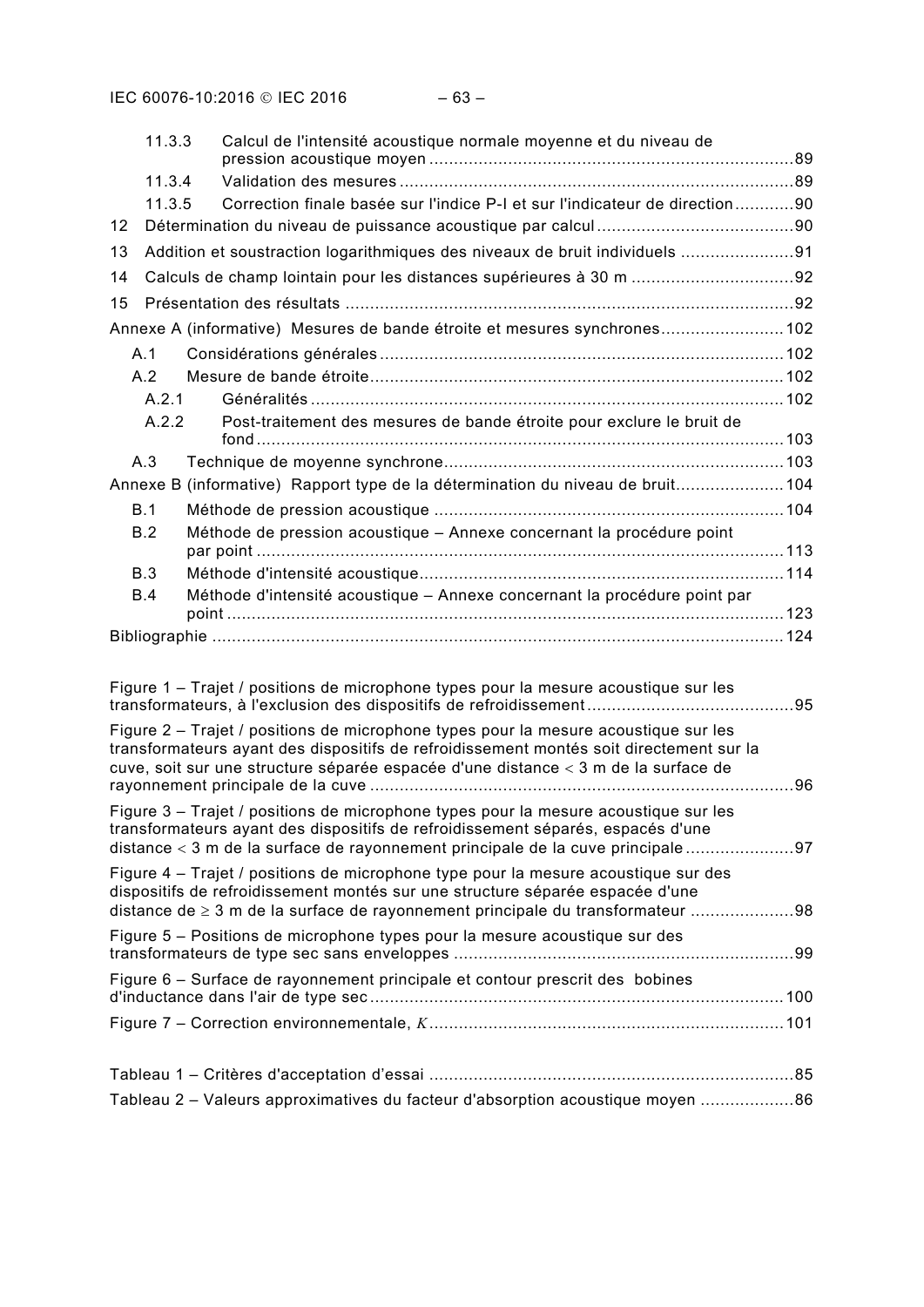IEC 60076-10:2016 © IEC 2016 – 63 –

|                   | 11.3.3 | Calcul de l'intensité acoustique normale moyenne et du niveau de              |  |
|-------------------|--------|-------------------------------------------------------------------------------|--|
|                   | 11.3.4 |                                                                               |  |
|                   | 11.3.5 | Correction finale basée sur l'indice P-I et sur l'indicateur de direction90   |  |
| $12 \overline{ }$ |        |                                                                               |  |
| 13                |        | Addition et soustraction logarithmiques des niveaux de bruit individuels 91   |  |
| 14                |        |                                                                               |  |
| 15                |        |                                                                               |  |
|                   |        | Annexe A (informative) Mesures de bande étroite et mesures synchrones102      |  |
|                   | A.1    |                                                                               |  |
|                   | A.2    |                                                                               |  |
|                   | A.2.1  |                                                                               |  |
|                   | A.2.2  | Post-traitement des mesures de bande étroite pour exclure le bruit de         |  |
|                   | A.3    |                                                                               |  |
|                   |        | Annexe B (informative) Rapport type de la détermination du niveau de bruit104 |  |
|                   | B.1    |                                                                               |  |
|                   | B.2    | Méthode de pression acoustique – Annexe concernant la procédure point         |  |
|                   | B.3    |                                                                               |  |
|                   | B.4    | Méthode d'intensité acoustique – Annexe concernant la procédure point par     |  |
|                   |        |                                                                               |  |
|                   |        |                                                                               |  |
|                   |        |                                                                               |  |

| Figure 1 – Trajet / positions de microphone types pour la mesure acoustique sur les                                                                                                                                                                                  |  |
|----------------------------------------------------------------------------------------------------------------------------------------------------------------------------------------------------------------------------------------------------------------------|--|
| Figure 2 – Trajet / positions de microphone types pour la mesure acoustique sur les<br>transformateurs ayant des dispositifs de refroidissement montés soit directement sur la<br>cuve, soit sur une structure séparée espacée d'une distance < 3 m de la surface de |  |
| Figure 3 – Trajet / positions de microphone types pour la mesure acoustique sur les<br>transformateurs ayant des dispositifs de refroidissement séparés, espacés d'une<br>distance < 3 m de la surface de rayonnement principale de la cuve principale97             |  |
| Figure 4 – Trajet / positions de microphone type pour la mesure acoustique sur des<br>dispositifs de refroidissement montés sur une structure séparée espacée d'une<br>distance $de \geq 3$ m de la surface de rayonnement principale du transformateur 98           |  |
| Figure 5 – Positions de microphone types pour la mesure acoustique sur des                                                                                                                                                                                           |  |
| Figure 6 – Surface de rayonnement principale et contour prescrit des bobines                                                                                                                                                                                         |  |
|                                                                                                                                                                                                                                                                      |  |
|                                                                                                                                                                                                                                                                      |  |
| Tableau 2 – Valeurs approximatives du facteur d'absorption acoustique moyen 86                                                                                                                                                                                       |  |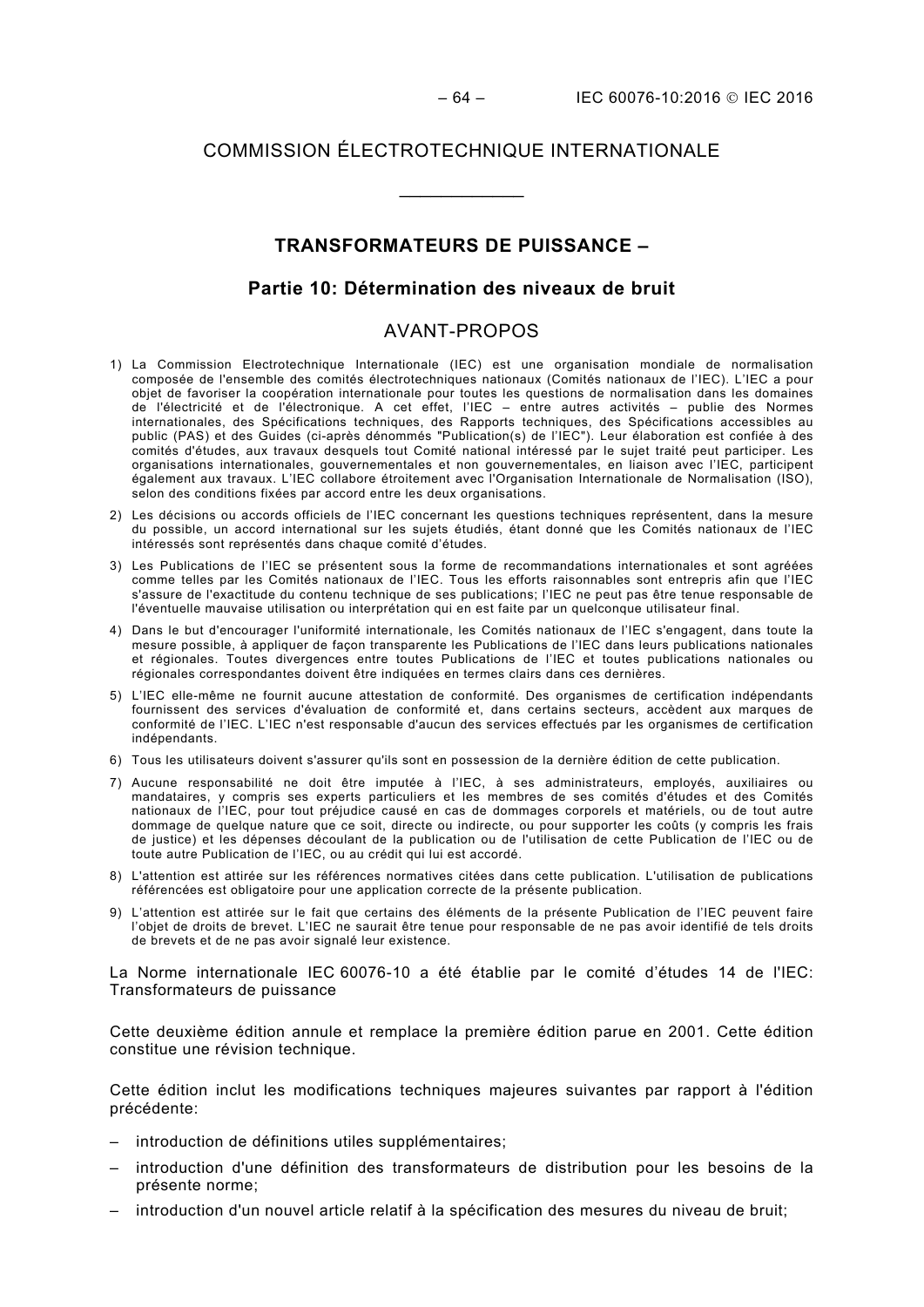## COMMISSION ÉLECTROTECHNIQUE INTERNATIONALE

\_\_\_\_\_\_\_\_\_\_\_\_

# **TRANSFORMATEURS DE PUISSANCE –**

## **Partie 10: Détermination des niveaux de bruit**

## AVANT-PROPOS

- <span id="page-10-0"></span>1) La Commission Electrotechnique Internationale (IEC) est une organisation mondiale de normalisation composée de l'ensemble des comités électrotechniques nationaux (Comités nationaux de l'IEC). L'IEC a pour objet de favoriser la coopération internationale pour toutes les questions de normalisation dans les domaines de l'électricité et de l'électronique. A cet effet, l'IEC – entre autres activités – publie des Normes internationales, des Spécifications techniques, des Rapports techniques, des Spécifications accessibles au public (PAS) et des Guides (ci-après dénommés "Publication(s) de l'IEC"). Leur élaboration est confiée à des comités d'études, aux travaux desquels tout Comité national intéressé par le sujet traité peut participer. Les organisations internationales, gouvernementales et non gouvernementales, en liaison avec l'IEC, participent également aux travaux. L'IEC collabore étroitement avec l'Organisation Internationale de Normalisation (ISO), selon des conditions fixées par accord entre les deux organisations.
- 2) Les décisions ou accords officiels de l'IEC concernant les questions techniques représentent, dans la mesure du possible, un accord international sur les sujets étudiés, étant donné que les Comités nationaux de l'IEC intéressés sont représentés dans chaque comité d'études.
- 3) Les Publications de l'IEC se présentent sous la forme de recommandations internationales et sont agréées comme telles par les Comités nationaux de l'IEC. Tous les efforts raisonnables sont entrepris afin que l'IEC s'assure de l'exactitude du contenu technique de ses publications; l'IEC ne peut pas être tenue responsable de l'éventuelle mauvaise utilisation ou interprétation qui en est faite par un quelconque utilisateur final.
- 4) Dans le but d'encourager l'uniformité internationale, les Comités nationaux de l'IEC s'engagent, dans toute la mesure possible, à appliquer de façon transparente les Publications de l'IEC dans leurs publications nationales et régionales. Toutes divergences entre toutes Publications de l'IEC et toutes publications nationales ou régionales correspondantes doivent être indiquées en termes clairs dans ces dernières.
- 5) L'IEC elle-même ne fournit aucune attestation de conformité. Des organismes de certification indépendants fournissent des services d'évaluation de conformité et, dans certains secteurs, accèdent aux marques de conformité de l'IEC. L'IEC n'est responsable d'aucun des services effectués par les organismes de certification indépendants.
- 6) Tous les utilisateurs doivent s'assurer qu'ils sont en possession de la dernière édition de cette publication.
- 7) Aucune responsabilité ne doit être imputée à l'IEC, à ses administrateurs, employés, auxiliaires ou mandataires, y compris ses experts particuliers et les membres de ses comités d'études et des Comités nationaux de l'IEC, pour tout préjudice causé en cas de dommages corporels et matériels, ou de tout autre dommage de quelque nature que ce soit, directe ou indirecte, ou pour supporter les coûts (y compris les frais de justice) et les dépenses découlant de la publication ou de l'utilisation de cette Publication de l'IEC ou de toute autre Publication de l'IEC, ou au crédit qui lui est accordé.
- 8) L'attention est attirée sur les références normatives citées dans cette publication. L'utilisation de publications référencées est obligatoire pour une application correcte de la présente publication.
- 9) L'attention est attirée sur le fait que certains des éléments de la présente Publication de l'IEC peuvent faire l'objet de droits de brevet. L'IEC ne saurait être tenue pour responsable de ne pas avoir identifié de tels droits de brevets et de ne pas avoir signalé leur existence.

La Norme internationale IEC 60076-10 a été établie par le comité d'études 14 de l'IEC: Transformateurs de puissance

Cette deuxième édition annule et remplace la première édition parue en 2001. Cette édition constitue une révision technique.

Cette édition inclut les modifications techniques majeures suivantes par rapport à l'édition précédente:

- introduction de définitions utiles supplémentaires;
- introduction d'une définition des transformateurs de distribution pour les besoins de la présente norme;
- introduction d'un nouvel article relatif à la spécification des mesures du niveau de bruit;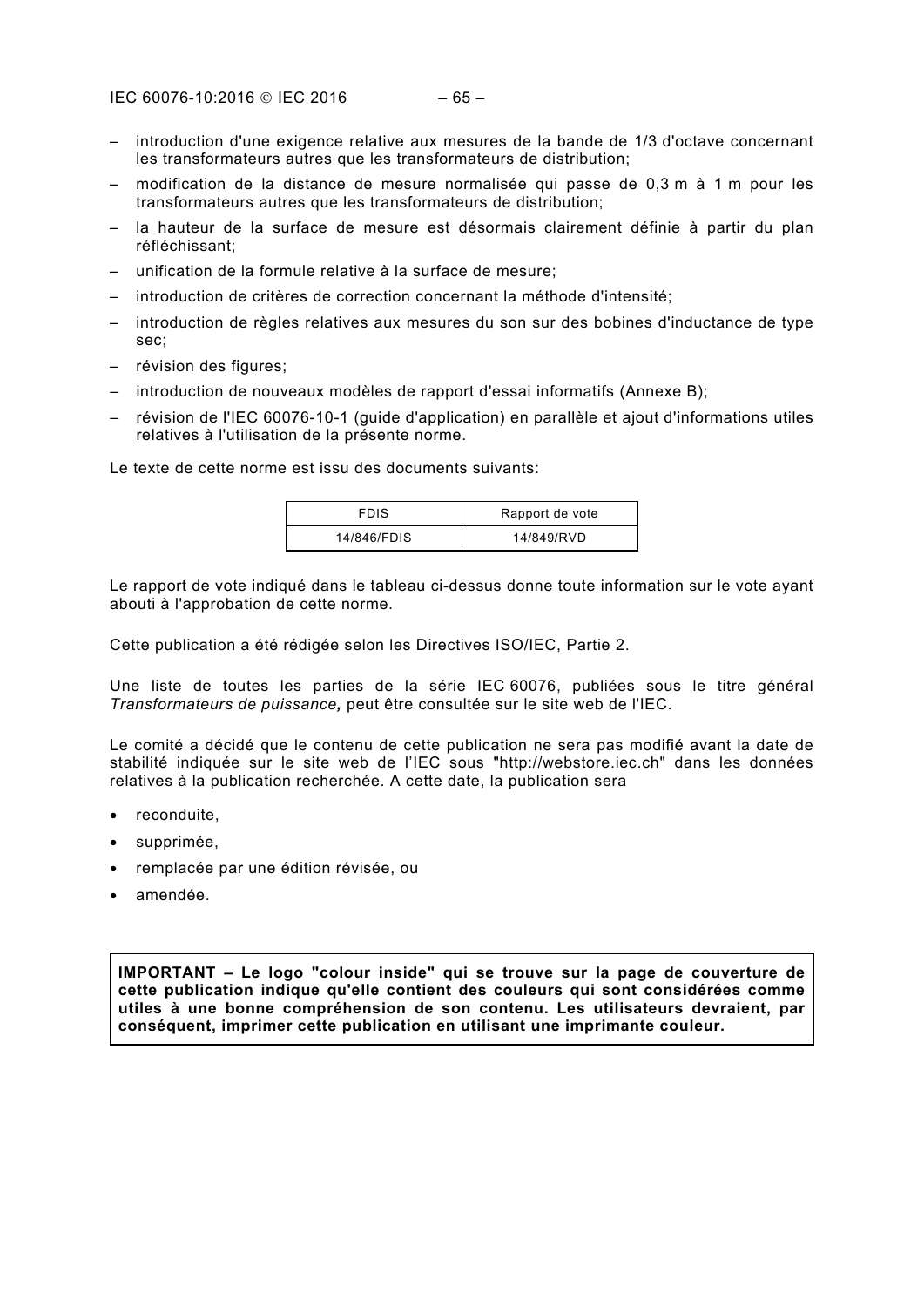- introduction d'une exigence relative aux mesures de la bande de 1/3 d'octave concernant les transformateurs autres que les transformateurs de distribution;
- modification de la distance de mesure normalisée qui passe de 0,3 m à 1 m pour les transformateurs autres que les transformateurs de distribution;
- la hauteur de la surface de mesure est désormais clairement définie à partir du plan réfléchissant;
- unification de la formule relative à la surface de mesure;
- introduction de critères de correction concernant la méthode d'intensité;
- introduction de règles relatives aux mesures du son sur des bobines d'inductance de type sec;
- révision des figures;
- introduction de nouveaux modèles de rapport d'essai informatifs (Annexe B);
- révision de l'IEC 60076-10-1 (guide d'application) en parallèle et ajout d'informations utiles relatives à l'utilisation de la présente norme.

Le texte de cette norme est issu des documents suivants:

| <b>FDIS</b> | Rapport de vote |
|-------------|-----------------|
| 14/846/FDIS | 14/849/RVD      |

Le rapport de vote indiqué dans le tableau ci-dessus donne toute information sur le vote ayant abouti à l'approbation de cette norme.

Cette publication a été rédigée selon les Directives ISO/IEC, Partie 2.

Une liste de toutes les parties de la série IEC 60076, publiées sous le titre général *Transformateurs de puissance,* peut être consultée sur le site web de l'IEC.

Le comité a décidé que le contenu de cette publication ne sera pas modifié avant la date de stabilité indiquée sur le site web de l'IEC sous "http://webstore.iec.ch" dans les données relatives à la publication recherchée. A cette date, la publication sera

- reconduite,
- supprimée,
- remplacée par une édition révisée, ou
- amendée.

**IMPORTANT – Le logo "colour inside" qui se trouve sur la page de couverture de cette publication indique qu'elle contient des couleurs qui sont considérées comme utiles à une bonne compréhension de son contenu. Les utilisateurs devraient, par conséquent, imprimer cette publication en utilisant une imprimante couleur.**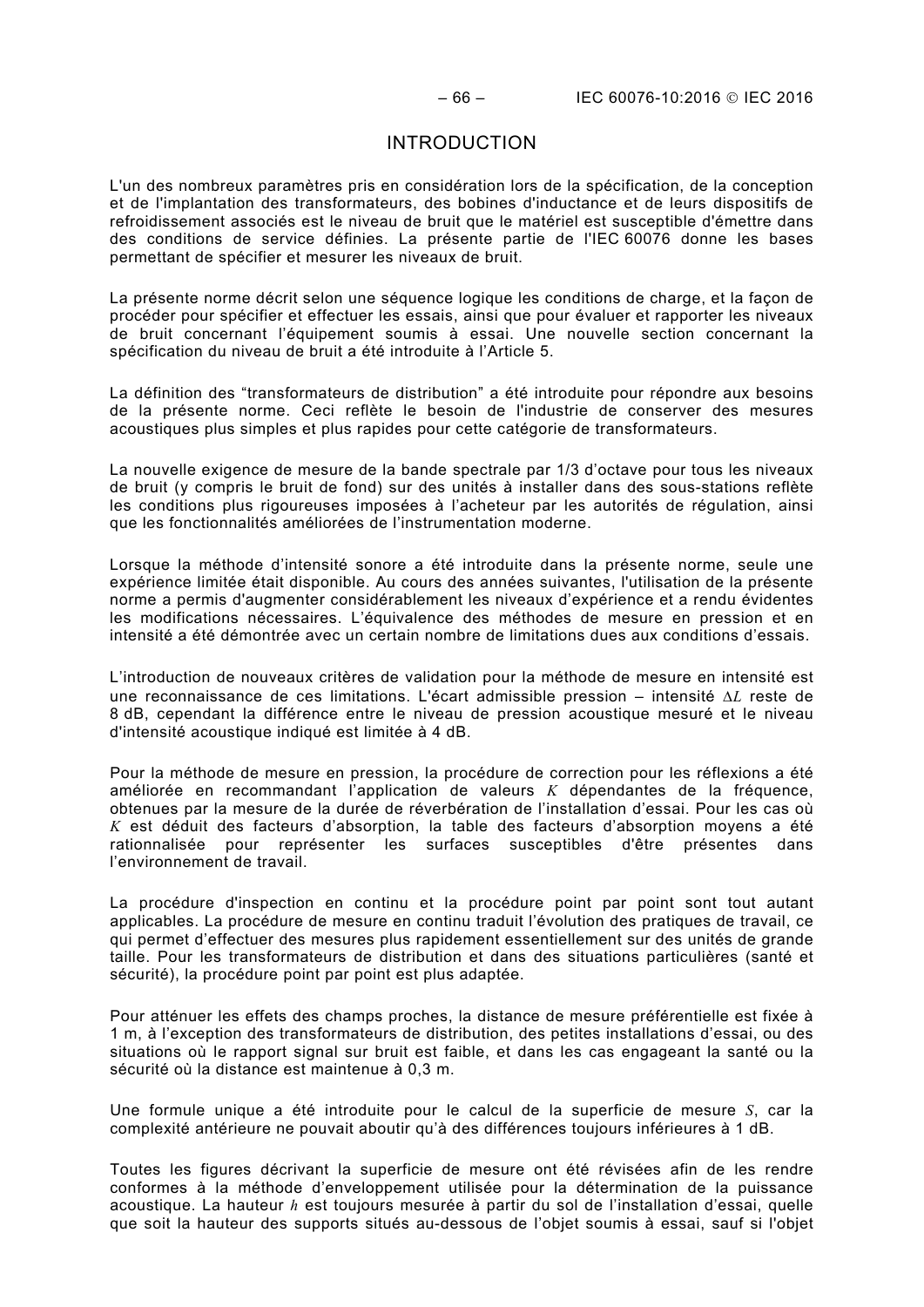## INTRODUCTION

<span id="page-12-0"></span>L'un des nombreux paramètres pris en considération lors de la spécification, de la conception et de l'implantation des transformateurs, des bobines d'inductance et de leurs dispositifs de refroidissement associés est le niveau de bruit que le matériel est susceptible d'émettre dans des conditions de service définies. La présente partie de l'IEC 60076 donne les bases permettant de spécifier et mesurer les niveaux de bruit.

La présente norme décrit selon une séquence logique les conditions de charge, et la façon de procéder pour spécifier et effectuer les essais, ainsi que pour évaluer et rapporter les niveaux de bruit concernant l'équipement soumis à essai. Une nouvelle section concernant la spécification du niveau de bruit a été introduite à l'Article 5.

La définition des "transformateurs de distribution" a été introduite pour répondre aux besoins de la présente norme. Ceci reflète le besoin de l'industrie de conserver des mesures acoustiques plus simples et plus rapides pour cette catégorie de transformateurs.

La nouvelle exigence de mesure de la bande spectrale par 1/3 d'octave pour tous les niveaux de bruit (y compris le bruit de fond) sur des unités à installer dans des sous-stations reflète les conditions plus rigoureuses imposées à l'acheteur par les autorités de régulation, ainsi que les fonctionnalités améliorées de l'instrumentation moderne.

Lorsque la méthode d'intensité sonore a été introduite dans la présente norme, seule une expérience limitée était disponible. Au cours des années suivantes, l'utilisation de la présente norme a permis d'augmenter considérablement les niveaux d'expérience et a rendu évidentes les modifications nécessaires. L'équivalence des méthodes de mesure en pression et en intensité a été démontrée avec un certain nombre de limitations dues aux conditions d'essais.

L'introduction de nouveaux critères de validation pour la méthode de mesure en intensité est une reconnaissance de ces limitations. L'écart admissible pression – intensité ∆*L* reste de 8 dB, cependant la différence entre le niveau de pression acoustique mesuré et le niveau d'intensité acoustique indiqué est limitée à 4 dB.

Pour la méthode de mesure en pression, la procédure de correction pour les réflexions a été améliorée en recommandant l'application de valeurs *K* dépendantes de la fréquence, obtenues par la mesure de la durée de réverbération de l'installation d'essai. Pour les cas où *K* est déduit des facteurs d'absorption, la table des facteurs d'absorption moyens a été rationnalisée pour représenter les surfaces susceptibles d'être présentes dans l'environnement de travail.

La procédure d'inspection en continu et la procédure point par point sont tout autant applicables. La procédure de mesure en continu traduit l'évolution des pratiques de travail, ce qui permet d'effectuer des mesures plus rapidement essentiellement sur des unités de grande taille. Pour les transformateurs de distribution et dans des situations particulières (santé et sécurité), la procédure point par point est plus adaptée.

Pour atténuer les effets des champs proches, la distance de mesure préférentielle est fixée à 1 m, à l'exception des transformateurs de distribution, des petites installations d'essai, ou des situations où le rapport signal sur bruit est faible, et dans les cas engageant la santé ou la sécurité où la distance est maintenue à 0,3 m.

Une formule unique a été introduite pour le calcul de la superficie de mesure *S*, car la complexité antérieure ne pouvait aboutir qu'à des différences toujours inférieures à 1 dB.

Toutes les figures décrivant la superficie de mesure ont été révisées afin de les rendre conformes à la méthode d'enveloppement utilisée pour la détermination de la puissance acoustique. La hauteur *h* est toujours mesurée à partir du sol de l'installation d'essai, quelle que soit la hauteur des supports situés au-dessous de l'objet soumis à essai, sauf si l'objet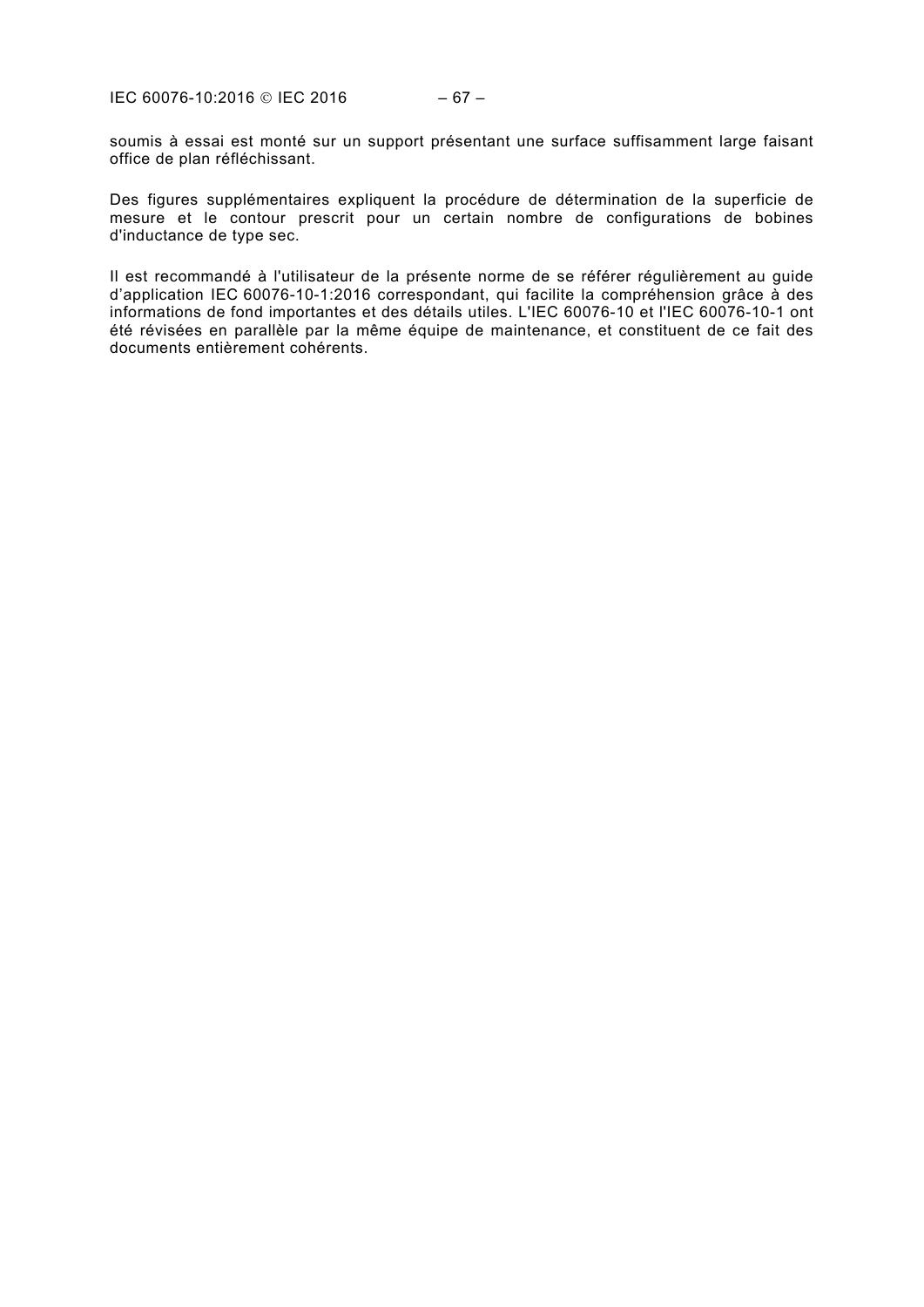soumis à essai est monté sur un support présentant une surface suffisamment large faisant office de plan réfléchissant.

Des figures supplémentaires expliquent la procédure de détermination de la superficie de mesure et le contour prescrit pour un certain nombre de configurations de bobines d'inductance de type sec.

Il est recommandé à l'utilisateur de la présente norme de se référer régulièrement au guide d'application IEC 60076-10-1:2016 correspondant, qui facilite la compréhension grâce à des informations de fond importantes et des détails utiles. L'IEC 60076-10 et l'IEC 60076-10-1 ont été révisées en parallèle par la même équipe de maintenance, et constituent de ce fait des documents entièrement cohérents.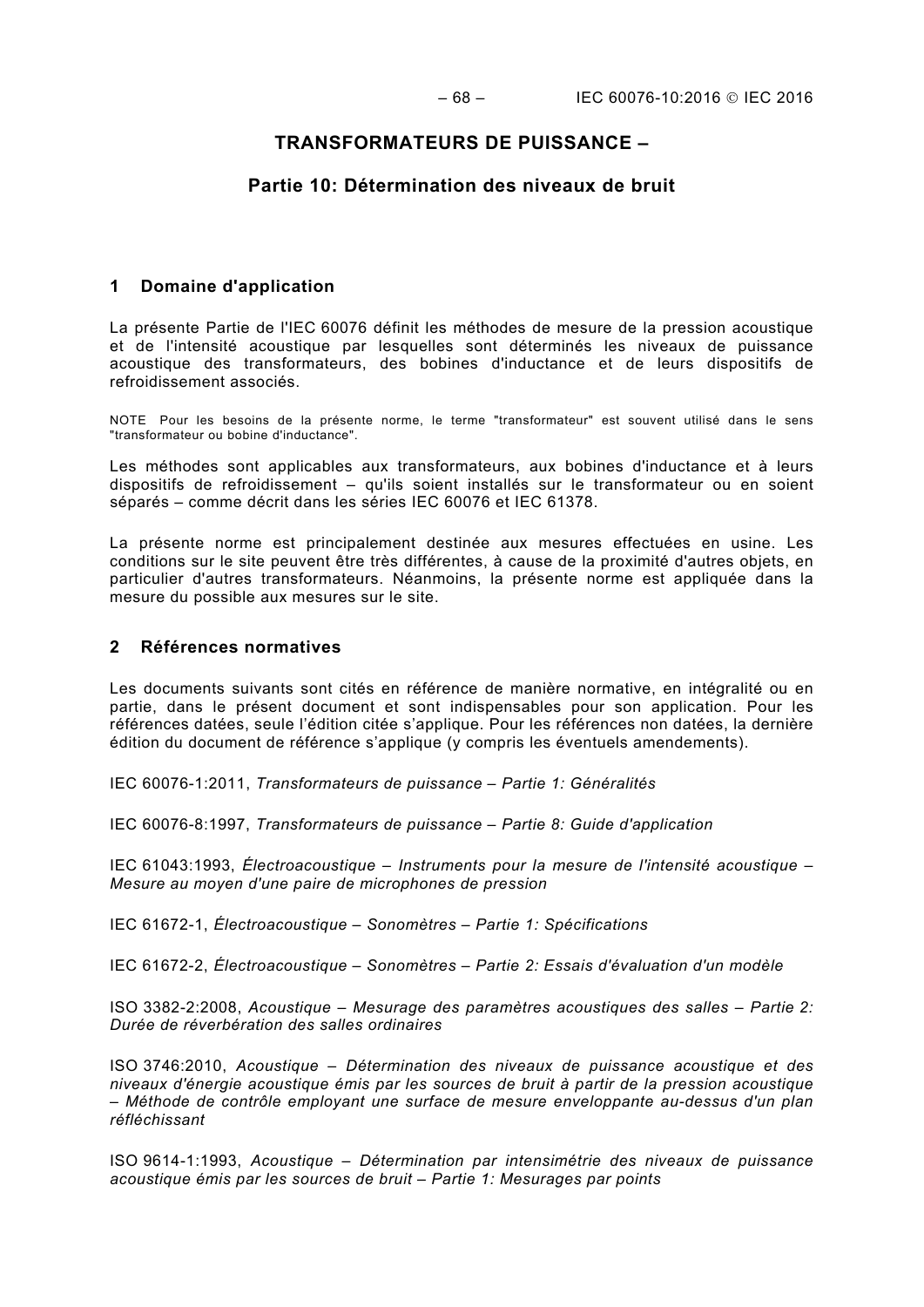# **TRANSFORMATEURS DE PUISSANCE –**

## **Partie 10: Détermination des niveaux de bruit**

## <span id="page-14-0"></span>**1 Domaine d'application**

La présente Partie de l'IEC 60076 définit les méthodes de mesure de la pression acoustique et de l'intensité acoustique par lesquelles sont déterminés les niveaux de puissance acoustique des transformateurs, des bobines d'inductance et de leurs dispositifs de refroidissement associés.

NOTE Pour les besoins de la présente norme, le terme "transformateur" est souvent utilisé dans le sens "transformateur ou bobine d'inductance".

Les méthodes sont applicables aux transformateurs, aux bobines d'inductance et à leurs dispositifs de refroidissement – qu'ils soient installés sur le transformateur ou en soient séparés – comme décrit dans les séries IEC 60076 et IEC 61378.

La présente norme est principalement destinée aux mesures effectuées en usine. Les conditions sur le site peuvent être très différentes, à cause de la proximité d'autres objets, en particulier d'autres transformateurs. Néanmoins, la présente norme est appliquée dans la mesure du possible aux mesures sur le site.

## <span id="page-14-1"></span>**2 Références normatives**

Les documents suivants sont cités en référence de manière normative, en intégralité ou en partie, dans le présent document et sont indispensables pour son application. Pour les références datées, seule l'édition citée s'applique. Pour les références non datées, la dernière édition du document de référence s'applique (y compris les éventuels amendements).

IEC 60076-1:2011, *Transformateurs de puissance – Partie 1: Généralités*

IEC 60076-8:1997, *Transformateurs de puissance – Partie 8: Guide d'application*

IEC 61043:1993, *Électroacoustique – Instruments pour la mesure de l'intensité acoustique – Mesure au moyen d'une paire de microphones de pression*

IEC 61672-1, *Électroacoustique – Sonomètres – Partie 1: Spécifications*

IEC 61672-2, *Électroacoustique – Sonomètres – Partie 2: Essais d'évaluation d'un modèle*

ISO 3382-2:2008, *Acoustique – Mesurage des paramètres acoustiques des salles – Partie 2: Durée de réverbération des salles ordinaires*

ISO 3746:2010, *Acoustique – Détermination des niveaux de puissance acoustique et des niveaux d'énergie acoustique émis par les sources de bruit à partir de la pression acoustique – Méthode de contrôle employant une surface de mesure enveloppante au-dessus d'un plan réfléchissant*

ISO 9614-1:1993, *Acoustique – Détermination par intensimétrie des niveaux de puissance acoustique émis par les sources de bruit – Partie 1: Mesurages par points*